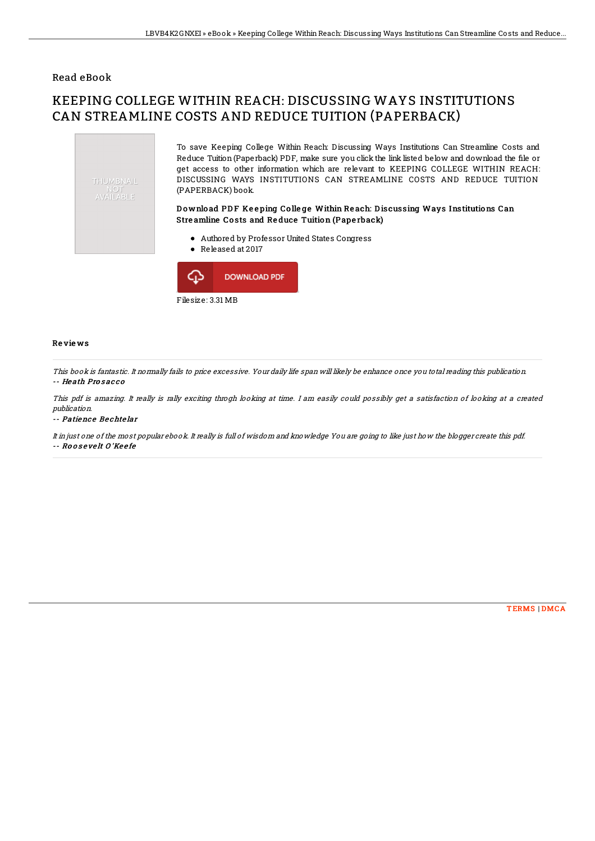## Read eBook

## KEEPING COLLEGE WITHIN REACH: DISCUSSING WAYS INSTITUTIONS CAN STREAMLINE COSTS AND REDUCE TUITION (PAPERBACK)





## Re vie ws

This book is fantastic. It normally fails to price excessive. Your daily life span will likely be enhance once you total reading this publication. -- He ath Pro s ac c o

This pdf is amazing. It really is rally exciting throgh looking at time. I am easily could possibly get <sup>a</sup> satisfaction of looking at <sup>a</sup> created publication.

-- Patience Bechtelar

It in just one of the most popular ebook. It really is full of wisdom and knowledge You are going to like just how the blogger create this pdf. -- Ro o s <sup>e</sup> ve lt O 'Ke <sup>e</sup> fe